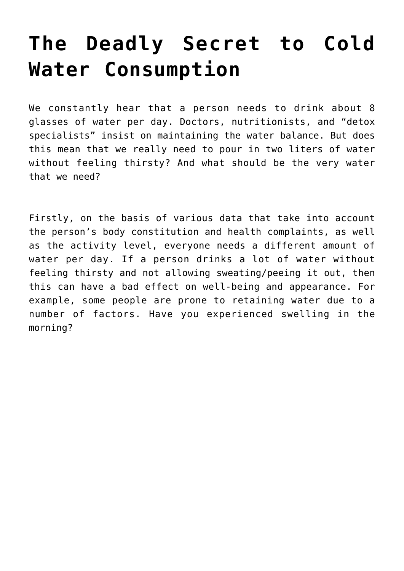## **[The Deadly Secret to Cold](https://sproutshealth.com/the-deadly-secret-to-cold-water-consumption/) [Water Consumption](https://sproutshealth.com/the-deadly-secret-to-cold-water-consumption/)**

We constantly hear that a person needs to drink about 8 glasses of water per day. Doctors, nutritionists, and "detox specialists" insist on maintaining the water balance. But does this mean that we really need to pour in two liters of water without feeling thirsty? And what should be the very water that we need?

Firstly, on the basis of various data that take into account the person's body constitution and health complaints, as well as the activity level, everyone needs a different amount of water per day. If a person drinks a lot of water without feeling thirsty and not allowing sweating/peeing it out, then this can have a bad effect on well-being and appearance. For example, some people are prone to retaining water due to a number of factors. Have you experienced swelling in the morning?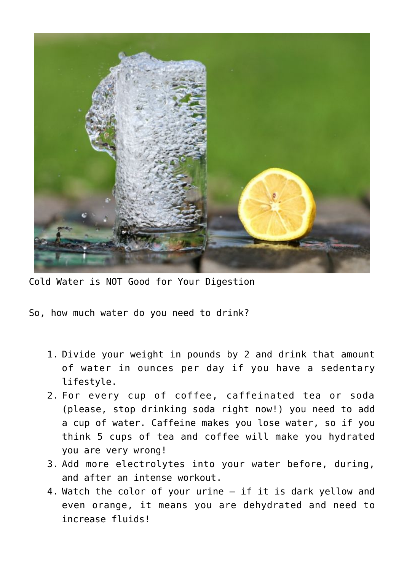

Cold Water is NOT Good for Your Digestion

So, how much water do you need to drink?

- 1. Divide your weight in pounds by 2 and drink that amount of water in ounces per day if you have a sedentary lifestyle.
- 2. For every cup of coffee, caffeinated tea or soda (please, stop drinking soda right now!) you need to add a cup of water. Caffeine makes you lose water, so if you think 5 cups of tea and coffee will make you hydrated you are very wrong!
- 3. Add more electrolytes into your water before, during, and after an intense workout.
- 4. Watch the color of your urine if it is dark yellow and even orange, it means you are dehydrated and need to increase fluids!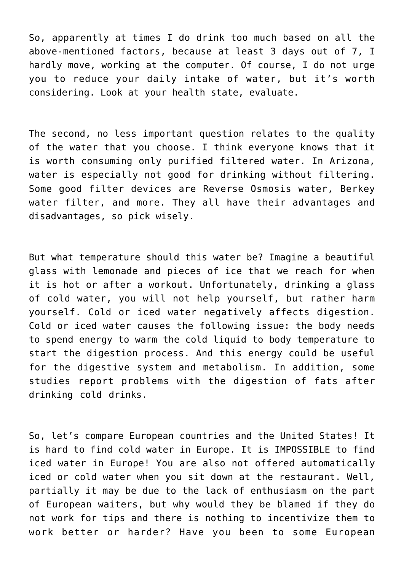So, apparently at times I do drink too much based on all the above-mentioned factors, because at least 3 days out of 7, I hardly move, working at the computer. Of course, I do not urge you to reduce your daily intake of water, but it's worth considering. Look at your health state, evaluate.

The second, no less important question relates to the quality of the water that you choose. I think everyone knows that it is worth consuming only purified filtered water. In Arizona, water is especially not good for drinking without filtering. Some good filter devices are Reverse Osmosis water, Berkey water filter, and more. They all have their advantages and disadvantages, so pick wisely.

But what temperature should this water be? Imagine a beautiful glass with lemonade and pieces of ice that we reach for when it is hot or after a workout. Unfortunately, drinking a glass of cold water, you will not help yourself, but rather harm yourself. Cold or iced water negatively affects digestion. Cold or iced water causes the following issue: the body needs to spend energy to warm the cold liquid to body temperature to start the digestion process. And this energy could be useful for the digestive system and metabolism. In addition, some studies report problems with the digestion of fats after drinking cold drinks.

So, let's compare European countries and the United States! It is hard to find cold water in Europe. It is IMPOSSIBLE to find iced water in Europe! You are also not offered automatically iced or cold water when you sit down at the restaurant. Well, partially it may be due to the lack of enthusiasm on the part of European waiters, but why would they be blamed if they do not work for tips and there is nothing to incentivize them to work better or harder? Have you been to some European